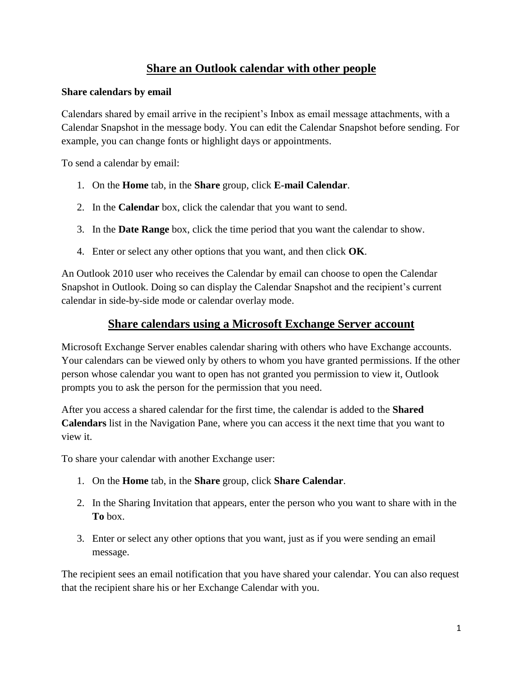## **Share an Outlook calendar with other people**

## **Share calendars by email**

Calendars shared by email arrive in the recipient's Inbox as email message attachments, with a Calendar Snapshot in the message body. You can edit the Calendar Snapshot before sending. For example, you can change fonts or highlight days or appointments.

To send a calendar by email:

- 1. On the **Home** tab, in the **Share** group, click **E-mail Calendar**.
- 2. In the **Calendar** box, click the calendar that you want to send.
- 3. In the **Date Range** box, click the time period that you want the calendar to show.
- 4. Enter or select any other options that you want, and then click **OK**.

An Outlook 2010 user who receives the Calendar by email can choose to open the Calendar Snapshot in Outlook. Doing so can display the Calendar Snapshot and the recipient's current calendar in side-by-side mode or calendar overlay mode.

## **Share calendars using a Microsoft Exchange Server account**

Microsoft Exchange Server enables calendar sharing with others who have Exchange accounts. Your calendars can be viewed only by others to whom you have granted permissions. If the other person whose calendar you want to open has not granted you permission to view it, Outlook prompts you to ask the person for the permission that you need.

After you access a shared calendar for the first time, the calendar is added to the **Shared Calendars** list in the Navigation Pane, where you can access it the next time that you want to view it.

To share your calendar with another Exchange user:

- 1. On the **Home** tab, in the **Share** group, click **Share Calendar**.
- 2. In the Sharing Invitation that appears, enter the person who you want to share with in the **To** box.
- 3. Enter or select any other options that you want, just as if you were sending an email message.

The recipient sees an email notification that you have shared your calendar. You can also request that the recipient share his or her Exchange Calendar with you.